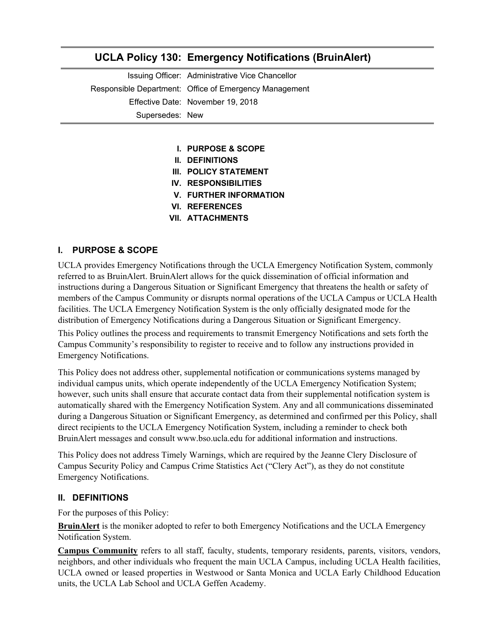# **UCLA Policy 130: Emergency Notifications (BruinAlert)**

Issuing Officer: Administrative Vice Chancellor Responsible Department: Office of Emergency Management Effective Date: November 19, 2018 Supersedes: New

- **I. PURPOSE & SCOPE**
- **II. DEFINITIONS**
- **III. POLICY STATEMENT**
- **IV. RESPONSIBILITIES**
- **V. FURTHER INFORMATION**
- **VI. REFERENCES**
- **VII. ATTACHMENTS**

#### **I. PURPOSE & SCOPE**

UCLA provides Emergency Notifications through the UCLA Emergency Notification System, commonly referred to as BruinAlert. BruinAlert allows for the quick dissemination of official information and instructions during a Dangerous Situation or Significant Emergency that threatens the health or safety of members of the Campus Community or disrupts normal operations of the UCLA Campus or UCLA Health facilities. The UCLA Emergency Notification System is the only officially designated mode for the distribution of Emergency Notifications during a Dangerous Situation or Significant Emergency.

This Policy outlines the process and requirements to transmit Emergency Notifications and sets forth the Campus Community's responsibility to register to receive and to follow any instructions provided in Emergency Notifications.

This Policy does not address other, supplemental notification or communications systems managed by individual campus units, which operate independently of the UCLA Emergency Notification System; however, such units shall ensure that accurate contact data from their supplemental notification system is automatically shared with the Emergency Notification System. Any and all communications disseminated during a Dangerous Situation or Significant Emergency, as determined and confirmed per this Policy, shall direct recipients to the UCLA Emergency Notification System, including a reminder to check both BruinAlert messages and consult www.bso.ucla.edu for additional information and instructions.

This Policy does not address Timely Warnings, which are required by the Jeanne Clery Disclosure of Campus Security Policy and Campus Crime Statistics Act ("Clery Act"), as they do not constitute Emergency Notifications.

#### **II. DEFINITIONS**

For the purposes of this Policy:

**BruinAlert** is the moniker adopted to refer to both Emergency Notifications and the UCLA Emergency Notification System.

**Campus Community** refers to all staff, faculty, students, temporary residents, parents, visitors, vendors, neighbors, and other individuals who frequent the main UCLA Campus, including UCLA Health facilities, UCLA owned or leased properties in Westwood or Santa Monica and UCLA Early Childhood Education units, the UCLA Lab School and UCLA Geffen Academy.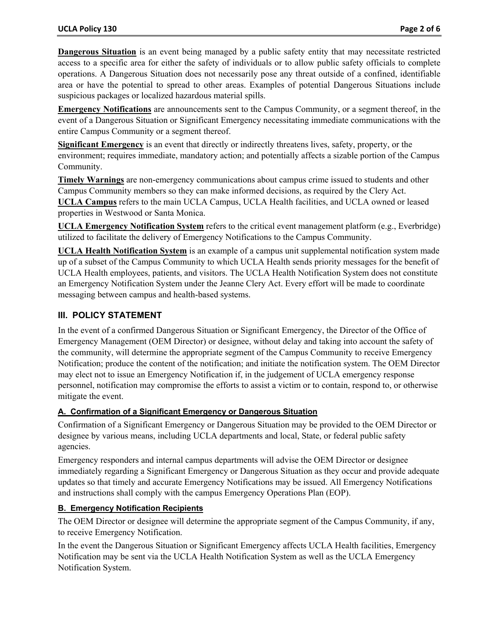**Dangerous Situation** is an event being managed by a public safety entity that may necessitate restricted access to a specific area for either the safety of individuals or to allow public safety officials to complete operations. A Dangerous Situation does not necessarily pose any threat outside of a confined, identifiable area or have the potential to spread to other areas. Examples of potential Dangerous Situations include suspicious packages or localized hazardous material spills.

**Emergency Notifications** are announcements sent to the Campus Community, or a segment thereof, in the event of a Dangerous Situation or Significant Emergency necessitating immediate communications with the entire Campus Community or a segment thereof.

**Significant Emergency** is an event that directly or indirectly threatens lives, safety, property, or the environment; requires immediate, mandatory action; and potentially affects a sizable portion of the Campus Community.

**Timely Warnings** are non-emergency communications about campus crime issued to students and other Campus Community members so they can make informed decisions, as required by the Clery Act. **UCLA Campus** refers to the main UCLA Campus, UCLA Health facilities, and UCLA owned or leased properties in Westwood or Santa Monica.

**UCLA Emergency Notification System** refers to the critical event management platform (e.g., Everbridge) utilized to facilitate the delivery of Emergency Notifications to the Campus Community.

**UCLA Health Notification System** is an example of a campus unit supplemental notification system made up of a subset of the Campus Community to which UCLA Health sends priority messages for the benefit of UCLA Health employees, patients, and visitors. The UCLA Health Notification System does not constitute an Emergency Notification System under the Jeanne Clery Act. Every effort will be made to coordinate messaging between campus and health-based systems.

## **III. POLICY STATEMENT**

In the event of a confirmed Dangerous Situation or Significant Emergency, the Director of the Office of Emergency Management (OEM Director) or designee, without delay and taking into account the safety of the community, will determine the appropriate segment of the Campus Community to receive Emergency Notification; produce the content of the notification; and initiate the notification system. The OEM Director may elect not to issue an Emergency Notification if, in the judgement of UCLA emergency response personnel, notification may compromise the efforts to assist a victim or to contain, respond to, or otherwise mitigate the event.

### **A. Confirmation of a Significant Emergency or Dangerous Situation**

Confirmation of a Significant Emergency or Dangerous Situation may be provided to the OEM Director or designee by various means, including UCLA departments and local, State, or federal public safety agencies.

Emergency responders and internal campus departments will advise the OEM Director or designee immediately regarding a Significant Emergency or Dangerous Situation as they occur and provide adequate updates so that timely and accurate Emergency Notifications may be issued. All Emergency Notifications and instructions shall comply with the campus Emergency Operations Plan (EOP).

#### **B. Emergency Notification Recipients**

The OEM Director or designee will determine the appropriate segment of the Campus Community, if any, to receive Emergency Notification.

In the event the Dangerous Situation or Significant Emergency affects UCLA Health facilities, Emergency Notification may be sent via the UCLA Health Notification System as well as the UCLA Emergency Notification System.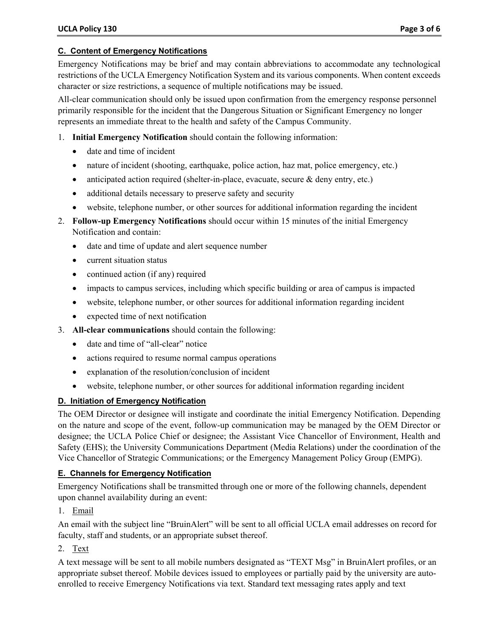## **C. Content of Emergency Notifications**

Emergency Notifications may be brief and may contain abbreviations to accommodate any technological restrictions of the UCLA Emergency Notification System and its various components. When content exceeds character or size restrictions, a sequence of multiple notifications may be issued.

All-clear communication should only be issued upon confirmation from the emergency response personnel primarily responsible for the incident that the Dangerous Situation or Significant Emergency no longer represents an immediate threat to the health and safety of the Campus Community.

- 1. **Initial Emergency Notification** should contain the following information:
	- date and time of incident
	- nature of incident (shooting, earthquake, police action, haz mat, police emergency, etc.)
	- anticipated action required (shelter-in-place, evacuate, secure & deny entry, etc.)
	- additional details necessary to preserve safety and security
	- website, telephone number, or other sources for additional information regarding the incident
- 2. **Follow-up Emergency Notifications** should occur within 15 minutes of the initial Emergency Notification and contain:
	- date and time of update and alert sequence number
	- current situation status
	- continued action (if any) required
	- impacts to campus services, including which specific building or area of campus is impacted
	- website, telephone number, or other sources for additional information regarding incident
	- expected time of next notification
- 3. **All-clear communications** should contain the following:
	- date and time of "all-clear" notice
	- actions required to resume normal campus operations
	- explanation of the resolution/conclusion of incident
	- website, telephone number, or other sources for additional information regarding incident

## **D. Initiation of Emergency Notification**

The OEM Director or designee will instigate and coordinate the initial Emergency Notification. Depending on the nature and scope of the event, follow-up communication may be managed by the OEM Director or designee; the UCLA Police Chief or designee; the Assistant Vice Chancellor of Environment, Health and Safety (EHS); the University Communications Department (Media Relations) under the coordination of the Vice Chancellor of Strategic Communications; or the Emergency Management Policy Group (EMPG).

## **E. Channels for Emergency Notification**

Emergency Notifications shall be transmitted through one or more of the following channels, dependent upon channel availability during an event:

## 1. Email

An email with the subject line "BruinAlert" will be sent to all official UCLA email addresses on record for faculty, staff and students, or an appropriate subset thereof.

## 2. Text

A text message will be sent to all mobile numbers designated as "TEXT Msg" in BruinAlert profiles, or an appropriate subset thereof. Mobile devices issued to employees or partially paid by the university are autoenrolled to receive Emergency Notifications via text. Standard text messaging rates apply and text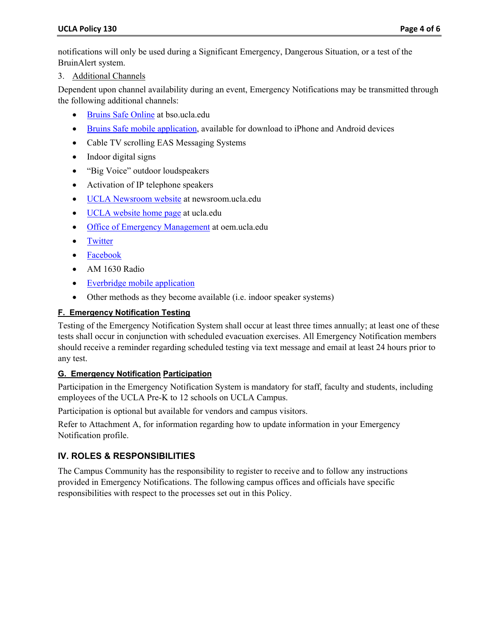notifications will only be used during a Significant Emergency, Dangerous Situation, or a test of the BruinAlert system.

3. Additional Channels

Dependent upon channel availability during an event, Emergency Notifications may be transmitted through the following additional channels:

- Bruins Safe Online at bso.ucla.edu
- **Bruins Safe mobile application**, available for download to iPhone and Android devices
- Cable TV scrolling EAS Messaging Systems
- Indoor digital signs
- "Big Voice" outdoor loudspeakers
- Activation of IP telephone speakers
- UCLA Newsroom website at newsroom.ucla.edu
- UCLA website home page at ucla.edu
- Office of Emergency Management at oem.ucla.edu
- Twitter
- Facebook
- AM 1630 Radio
- Everbridge mobile application
- Other methods as they become available (i.e. indoor speaker systems)

#### **F. Emergency Notification Testing**

Testing of the Emergency Notification System shall occur at least three times annually; at least one of these tests shall occur in conjunction with scheduled evacuation exercises. All Emergency Notification members should receive a reminder regarding scheduled testing via text message and email at least 24 hours prior to any test.

#### **G. Emergency Notification Participation**

Participation in the Emergency Notification System is mandatory for staff, faculty and students, including employees of the UCLA Pre-K to 12 schools on UCLA Campus.

Participation is optional but available for vendors and campus visitors.

Refer to Attachment A, for information regarding how to update information in your Emergency Notification profile.

## **IV. ROLES & RESPONSIBILITIES**

The Campus Community has the responsibility to register to receive and to follow any instructions provided in Emergency Notifications. The following campus offices and officials have specific responsibilities with respect to the processes set out in this Policy.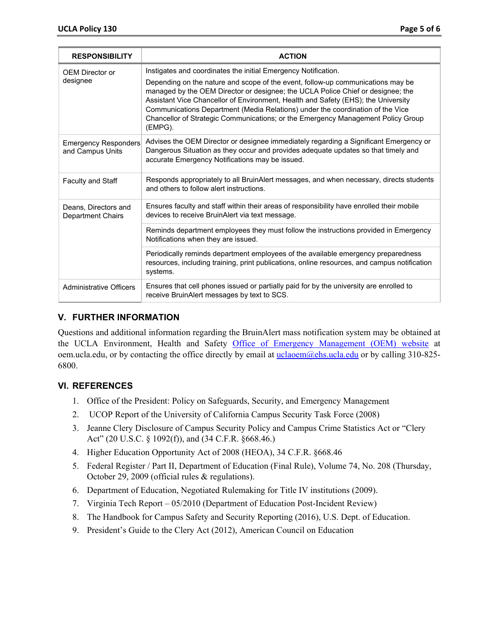| <b>RESPONSIBILITY</b>                           | <b>ACTION</b>                                                                                                                                                                                                                                                                                                                                                                                                                                                                                              |  |
|-------------------------------------------------|------------------------------------------------------------------------------------------------------------------------------------------------------------------------------------------------------------------------------------------------------------------------------------------------------------------------------------------------------------------------------------------------------------------------------------------------------------------------------------------------------------|--|
| <b>OEM Director or</b><br>designee              | Instigates and coordinates the initial Emergency Notification.<br>Depending on the nature and scope of the event, follow-up communications may be<br>managed by the OEM Director or designee; the UCLA Police Chief or designee; the<br>Assistant Vice Chancellor of Environment, Health and Safety (EHS); the University<br>Communications Department (Media Relations) under the coordination of the Vice<br>Chancellor of Strategic Communications; or the Emergency Management Policy Group<br>(EMPG). |  |
| <b>Emergency Responders</b><br>and Campus Units | Advises the OEM Director or designee immediately regarding a Significant Emergency or<br>Dangerous Situation as they occur and provides adequate updates so that timely and<br>accurate Emergency Notifications may be issued.                                                                                                                                                                                                                                                                             |  |
| Faculty and Staff                               | Responds appropriately to all BruinAlert messages, and when necessary, directs students<br>and others to follow alert instructions.                                                                                                                                                                                                                                                                                                                                                                        |  |
| Deans, Directors and<br>Department Chairs       | Ensures faculty and staff within their areas of responsibility have enrolled their mobile<br>devices to receive BruinAlert via text message.                                                                                                                                                                                                                                                                                                                                                               |  |
|                                                 | Reminds department employees they must follow the instructions provided in Emergency<br>Notifications when they are issued.                                                                                                                                                                                                                                                                                                                                                                                |  |
|                                                 | Periodically reminds department employees of the available emergency preparedness<br>resources, including training, print publications, online resources, and campus notification<br>systems.                                                                                                                                                                                                                                                                                                              |  |
| <b>Administrative Officers</b>                  | Ensures that cell phones issued or partially paid for by the university are enrolled to<br>receive BruinAlert messages by text to SCS.                                                                                                                                                                                                                                                                                                                                                                     |  |

# **V. FURTHER INFORMATION**

Questions and additional information regarding the BruinAlert mass notification system may be obtained at the UCLA Environment, Health and Safety Office of Emergency Management (OEM) website at oem.ucla.edu, or by contacting the office directly by email at *uclaoem@ehs.ucla.edu* or by calling 310-825-6800.

## **VI. REFERENCES**

- 1. Office of the President: Policy on Safeguards, Security, and Emergency Management
- 2. UCOP Report of the University of California Campus Security Task Force (2008)
- 3. Jeanne Clery Disclosure of Campus Security Policy and Campus Crime Statistics Act or "Clery Act" (20 U.S.C. § 1092(f)), and (34 C.F.R. §668.46.)
- 4. Higher Education Opportunity Act of 2008 (HEOA), 34 C.F.R. §668.46
- 5. Federal Register / Part II, Department of Education (Final Rule), Volume 74, No. 208 (Thursday, October 29, 2009 (official rules & regulations).
- 6. Department of Education, Negotiated Rulemaking for Title IV institutions (2009).
- 7. Virginia Tech Report 05/2010 (Department of Education Post-Incident Review)
- 8. The Handbook for Campus Safety and Security Reporting (2016), U.S. Dept. of Education.
- 9. President's Guide to the Clery Act (2012), American Council on Education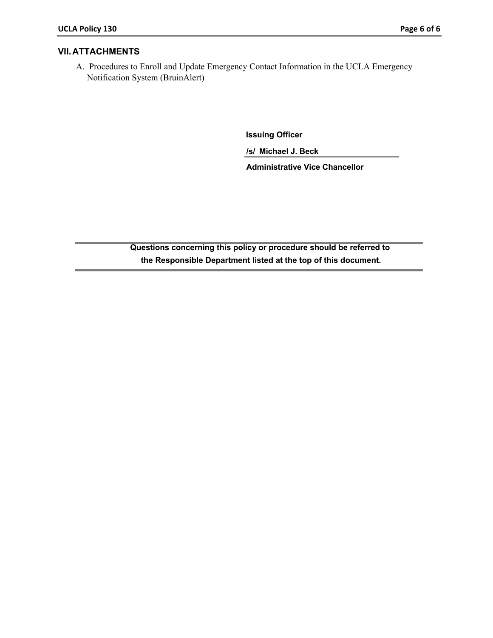#### **VII. ATTACHMENTS**

A. Procedures to Enroll and Update Emergency Contact Information in the UCLA Emergency Notification System (BruinAlert)

**Issuing Officer**

**/s/ Michael J. Beck** 

**Administrative Vice Chancellor** 

**Questions concerning this policy or procedure should be referred to the Responsible Department listed at the top of this document.**